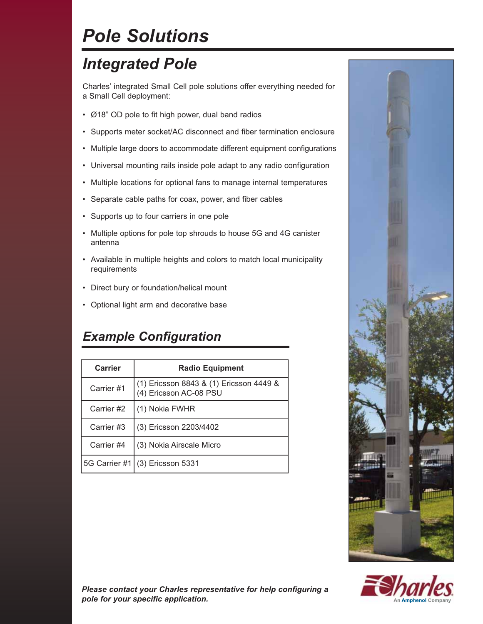# *Pole Solutions*

## *Integrated Pole*

Charles' integrated Small Cell pole solutions offer everything needed for a Small Cell deployment:

- Ø18" OD pole to fit high power, dual band radios
- Supports meter socket/AC disconnect and fiber termination enclosure
- Multiple large doors to accommodate different equipment configurations
- Universal mounting rails inside pole adapt to any radio configuration
- Multiple locations for optional fans to manage internal temperatures
- Separate cable paths for coax, power, and fiber cables
- Supports up to four carriers in one pole
- Multiple options for pole top shrouds to house 5G and 4G canister antenna
- Available in multiple heights and colors to match local municipality requirements
- Direct bury or foundation/helical mount
- Optional light arm and decorative base

### *Example Configuration*

| Carrier    | <b>Radio Equipment</b>                                            |
|------------|-------------------------------------------------------------------|
| Carrier #1 | (1) Ericsson 8843 & (1) Ericsson 4449 &<br>(4) Ericsson AC-08 PSU |
| Carrier #2 | (1) Nokia FWHR                                                    |
| Carrier #3 | (3) Ericsson 2203/4402                                            |
| Carrier #4 | (3) Nokia Airscale Micro                                          |
|            | 5G Carrier #1 (3) Ericsson 5331                                   |





*Please contact your Charles representative for help configuring a pole for your specific application.*